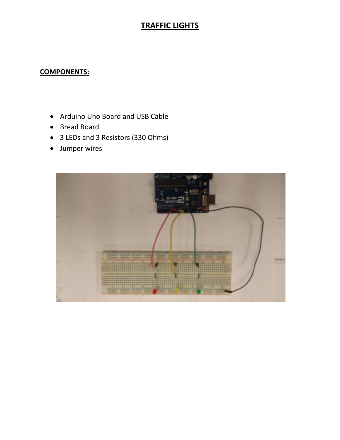## **TRAFFIC LIGHTS**

## **COMPONENTS:**

- Arduino Uno Board and USB Cable
- Bread Board
- 3 LEDs and 3 Resistors (330 Ohms)
- Jumper wires